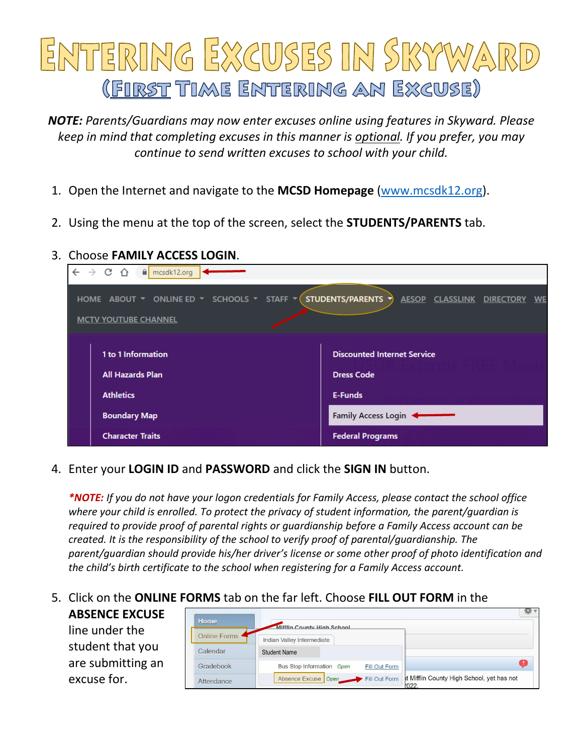# ENTERING EXCUSES IN SKYWARD (FIRST TIME ENTERING AN EXCUSE)

*NOTE: Parents/Guardians may now enter excuses online using features in Skyward. Please keep in mind that completing excuses in this manner is optional. If you prefer, you may continue to send written excuses to school with your child.* 

- 1. Open the Internet and navigate to the **MCSD Homepage** [\(www.mcsdk12.org\)](http://www.mcsdk12.org/).
- 2. Using the menu at the top of the screen, select the **STUDENTS/PARENTS** tab.

## 3. Choose **FAMILY ACCESS LOGIN**.

| $\leftarrow$ $\rightarrow$ C $\Omega$<br>$\theta$ mcsdk12.org $\sim$                               |                                                                   |
|----------------------------------------------------------------------------------------------------|-------------------------------------------------------------------|
| SCHOOLS T STAFF T<br>ONLINE ED Y<br>HOME ABOUT $\blacktriangledown$<br><b>MCTV YOUTUBE CHANNEL</b> | STUDENTS/PARENTS<br><b>AESOP</b><br><b>CLASSLINK DIRECTORY WE</b> |
| 1 to 1 Information<br><b>All Hazards Plan</b>                                                      | <b>Discounted Internet Service</b><br><b>Dress Code</b>           |
| <b>Athletics</b>                                                                                   | E-Funds                                                           |
| <b>Boundary Map</b>                                                                                | Family Access Login                                               |
| <b>Character Traits</b>                                                                            | <b>Federal Programs</b>                                           |

4. Enter your **LOGIN ID** and **PASSWORD** and click the **SIGN IN** button.

*\*NOTE: If you do not have your logon credentials for Family Access, please contact the school office where your child is enrolled. To protect the privacy of student information, the parent/guardian is required to provide proof of parental rights or guardianship before a Family Access account can be created. It is the responsibility of the school to verify proof of parental/guardianship. The parent/guardian should provide his/her driver's license or some other proof of photo identification and the child's birth certificate to the school when registering for a Family Access account.*

# 5. Click on the **ONLINE FORMS** tab on the far left. Choose **FILL OUT FORM** in the

#### **ABSENCE EXCUSE**

line under the student that you are submitting an excuse for.

| Home           | Mifflin County High School                 |                                                   |
|----------------|--------------------------------------------|---------------------------------------------------|
| Online Forms 4 | Indian Valley Intermediate                 |                                                   |
| Calendar       | <b>Student Name</b>                        |                                                   |
| Gradebook      | Bus Stop Information Open<br>Fill Out Form |                                                   |
| Attendance     | Absence Excuse Open Fill Out Form          | It Mifflin County High School, yet has not<br>022 |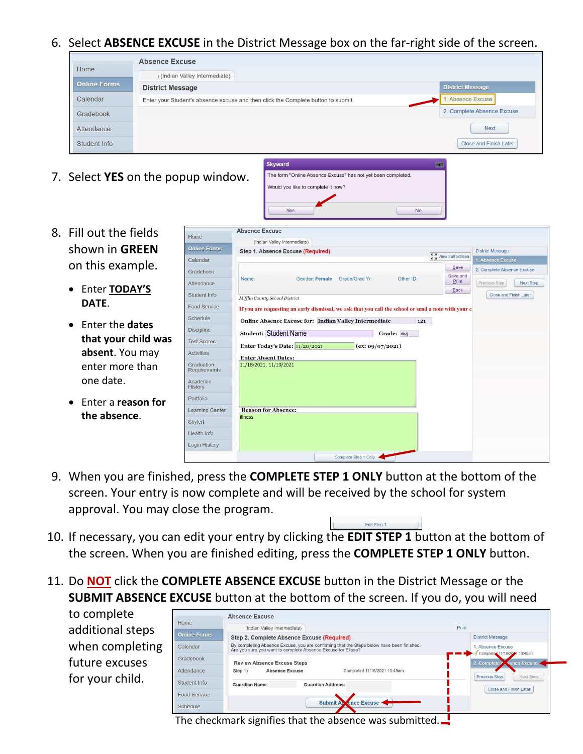6. Select **ABSENCE EXCUSE** in the District Message box on the far-right side of the screen.

| Home                | I (Indian Valley Intermediate)                                                    |                               |
|---------------------|-----------------------------------------------------------------------------------|-------------------------------|
| <b>Online Forms</b> | <b>District Message</b>                                                           | <b>District Message</b>       |
| Calendar            | Enter your Student's absence excuse and then click the Complete button to submit. | Absence Excuse                |
| Gradebook           |                                                                                   | 2. Complete Absence Excuse    |
| Attendance          |                                                                                   | <b>Next</b>                   |
| Student Info        |                                                                                   | <b>Close and Finish Later</b> |

Would you like to complete it now?

The form "Online Absence Excuse" has not yet been completed.

7. Select **YES** on the popup window.

 $\mathbf{C}$  $\overline{G}$  $\mathsf{A}$  $S$ 

 $\mathbf{S}$  $\overline{D}$  $T<sub>6</sub>$  $\overline{A}$  $\frac{G}{R}$ Ad<br>Hi  $\overline{P}$ 

 $\overline{\mathbf{S}}$  $H$ 

- 8. Fill out the fields shown in **GREEN** on this example.
	- Enter **TODAY'S DATE**.
	- Enter the **dates that your child was absent**. You may enter more than one date.
	- Enter a **reason for the absence**.

| ome                     | <b>Absence Excuse</b>                                                                                |
|-------------------------|------------------------------------------------------------------------------------------------------|
| <b>Iline Forms</b>      | (Indian Valley Intermediate)                                                                         |
|                         | <b>District Message</b><br>Step 1. Absence Excuse (Required)<br><b>K &amp; View Full Screen</b>      |
| alendar                 | 1. Absence Excuse<br>Save                                                                            |
| adebook                 | 2. Complete Absence Excuse<br>Save and                                                               |
| tendance                | Name:<br>Gender: Female<br>Grade/Grad Yr:<br>Other ID:<br>Print<br>Previous Step<br><b>Next Step</b> |
| udent Info              | <b>Back</b><br>Close and Finish Later<br>Mifflin County School District                              |
| od Service              | If you are requesting an early dismissal, we ask that you call the school or send a note with your c |
| hedule                  | <b>Online Absence Excuse for: Indian Valley Intermediate</b><br>121                                  |
| scipline                | <b>Student: Student Name</b><br>Grade: 04                                                            |
| st Scores               | Enter Today's Date: 11/20/2021<br>(ex: 09/07/2021)                                                   |
| <b>tivities</b>         | <b>Enter Absent Dates:</b>                                                                           |
| aduation<br>equirements | 11/18/2021, 11/19/2021                                                                               |
| ademic<br>story         |                                                                                                      |
| ortfolio                |                                                                                                      |
| arning Center           | <b>Reason for Absence:</b>                                                                           |
| <b>vlert</b>            | <b>illness</b>                                                                                       |
| ealth Info              |                                                                                                      |
| gin History             |                                                                                                      |
|                         | Complete Step 1 Only                                                                                 |

 $\mathsf{No}$ 

- 9. When you are finished, press the **COMPLETE STEP 1 ONLY** button at the bottom of the screen. Your entry is now complete and will be received by the school for system approval. You may close the program.
- 10. If necessary, you can edit your entry by clicking the **EDIT STEP 1** button at the bottom of the screen. When you are finished editing, press the **COMPLETE STEP 1 ONLY** button.
- 11. Do **NOT** click the **COMPLETE ABSENCE EXCUSE** button in the District Message or the **SUBMIT ABSENCE EXCUSE** button at the bottom of the screen. If you do, you will need

to complete additional steps when completing future excuses for your child.

|                     | <b>Absence Excuse</b>                                                                                                                                                                                                                                               |                          |                                                |
|---------------------|---------------------------------------------------------------------------------------------------------------------------------------------------------------------------------------------------------------------------------------------------------------------|--------------------------|------------------------------------------------|
| Home                | (Indian Valley Intermediate)                                                                                                                                                                                                                                        |                          | Print                                          |
| <b>Online Forms</b> | Step 2. Complete Absence Excuse (Required)                                                                                                                                                                                                                          |                          | <b>District Message</b>                        |
| Calendar            | By completing Absence Excuse, you are confirming that the Steps below have been finished.<br>Are you sure you want to complete Absence Excuse for Elissa?<br><b>Review Absence Excuse Steps</b><br><b>Absence Excuse</b><br>Completed 11/16/2021 10:49am<br>Step 1) |                          | Absence Excuse<br>Completed 11/16/2021 10:49am |
| Gradebook           |                                                                                                                                                                                                                                                                     |                          | 2. Complete A sence Excuse .                   |
| Attendance          |                                                                                                                                                                                                                                                                     |                          | Previous Step<br>Next Step                     |
| Student Info        | <b>Guardian Name:</b>                                                                                                                                                                                                                                               | <b>Guardian Address:</b> | Close and Finish Later                         |
| Food Service        |                                                                                                                                                                                                                                                                     |                          |                                                |
| Schedule            |                                                                                                                                                                                                                                                                     | Submit At ence Excuse    |                                                |

Edit Step 1

The checkmark signifies that the absence was submitted.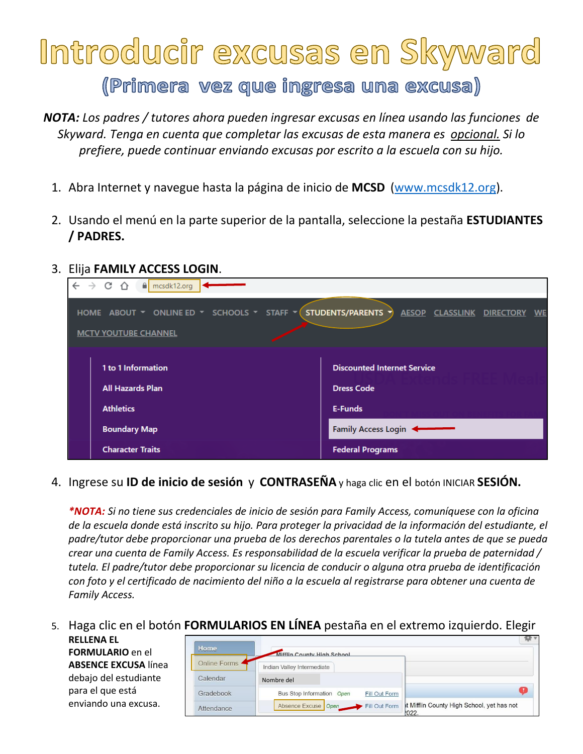# Introducir excusas en Skyward

(Primera vez que ingresa una excusa)

*NOTA: Los padres / tutores ahora pueden ingresar excusas en línea usando las funciones de Skyward. Tenga en cuenta que completar las excusas de esta manera es opcional. Si lo prefiere, puede continuar enviando excusas por escrito a la escuela con su hijo.* 

- 1. Abra Internet y navegue hasta la página de inicio de **MCSD** [\(www.mcsdk12.org\)](http://www.mcsdk12.org/).
- 2. Usando el menú en la parte superior de la pantalla, seleccione la pestaña **ESTUDIANTES / PADRES.**
- 3. Elija **FAMILY ACCESS LOGIN**.

| $\leftarrow$ $\rightarrow$ C $\Omega$ I<br>mcsdk12.org                                                    |                                                            |
|-----------------------------------------------------------------------------------------------------------|------------------------------------------------------------|
| HOME ABOUT $\bullet$ ONLINE ED $\bullet$ SCHOOLS $\bullet$ STAFF $\bullet$<br><b>MCTV YOUTUBE CHANNEL</b> | STUDENTS/PARENTS<br>AESOP CLASSLINK DIRECTORY<br><b>WE</b> |
| 1 to 1 Information                                                                                        | <b>Discounted Internet Service</b>                         |
| <b>All Hazards Plan</b>                                                                                   | <b>Dress Code</b>                                          |
| <b>Athletics</b>                                                                                          | <b>E-Funds</b>                                             |
| <b>Boundary Map</b>                                                                                       | Family Access Login                                        |
| <b>Character Traits</b>                                                                                   | <b>Federal Programs</b>                                    |

4. Ingrese su **ID de inicio de sesión** y **CONTRASEÑA** y haga clic en el botón INICIAR **SESIÓN.**

*\*NOTA: Si no tiene sus credenciales de inicio de sesión para Family Access, comuníquese con la oficina de la escuela donde está inscrito su hijo. Para proteger la privacidad de la información del estudiante, el padre/tutor debe proporcionar una prueba de los derechos parentales o la tutela antes de que se pueda crear una cuenta de Family Access. Es responsabilidad de la escuela verificar la prueba de paternidad / tutela. El padre/tutor debe proporcionar su licencia de conducir o alguna otra prueba de identificación con foto y el certificado de nacimiento del niño a la escuela al registrarse para obtener una cuenta de Family Access.*

### 5. Haga clic en el botón **FORMULARIOS EN LÍNEA** pestaña en el extremo izquierdo. Elegir

**RELLENA EL FORMULARIO** en el **ABSENCE EXCUSA** línea debajo del estudiante para el que está enviando una excusa.

| Home           |                                                          |                                                     |
|----------------|----------------------------------------------------------|-----------------------------------------------------|
| Online Forms . | Mifflin County High School<br>Indian Valley Intermediate |                                                     |
| Calendar       | Nombre del                                               |                                                     |
| Gradebook      | Bus Stop Information Open<br>Fill Out Form               |                                                     |
| Attendance     | Absence Excuse Open Fill Out Form                        | It Mifflin County High School, yet has not<br>1022. |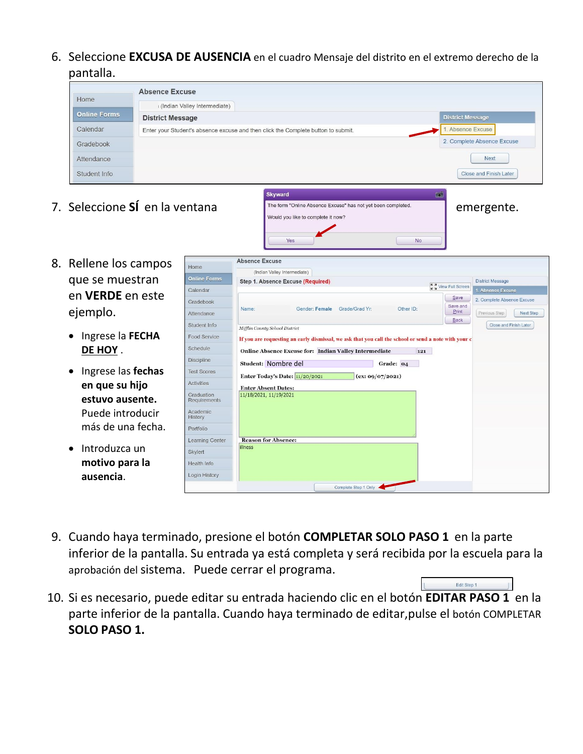6. Seleccione **EXCUSA DE AUSENCIA** en el cuadro Mensaje del distrito en el extremo derecho de la pantalla.

|                     | <b>Absence Excuse</b>                                                             |                               |
|---------------------|-----------------------------------------------------------------------------------|-------------------------------|
| Home                | (Indian Valley Intermediate)                                                      |                               |
| <b>Online Forms</b> | <b>District Message</b>                                                           | <b>District Message</b>       |
| Calendar            | Enter your Student's absence excuse and then click the Complete button to submit. | . Absence Excuse              |
| Gradebook           |                                                                                   | 2. Complete Absence Excuse    |
| Attendance          |                                                                                   | <b>Next</b>                   |
| Student Info        |                                                                                   | <b>Close and Finish Later</b> |

|                                | <b>Skyward</b>                                                                                     |            |
|--------------------------------|----------------------------------------------------------------------------------------------------|------------|
| 7. Seleccione Sí en la ventana | The form "Online Absence Excuse" has not yet been completed.<br>Would you like to complete it now? | emergente. |
|                                | Yes<br><b>No</b>                                                                                   |            |

Edit Step 1

- 8. Rellene los campos que se muestran en **VERDE** en este ejemplo.
	- Ingrese la **FECHA DE HOY** .
	- Ingrese las **fechas en que su hijo estuvo ausente.** Puede introducir más de una fecha.
	- Introduzca un **motivo para la ausencia**.

|                                   | <b>Absence Excuse</b>                                                                                |                                   |
|-----------------------------------|------------------------------------------------------------------------------------------------------|-----------------------------------|
| <b>Home</b>                       | (Indian Valley Intermediate)                                                                         |                                   |
| <b>Online Forms</b>               | Step 1. Absence Excuse (Required)                                                                    | <b>District Message</b>           |
| Calendar                          | <b>K A</b> View Full Screen                                                                          | 1. Absence Excuse                 |
| <b>Gradebook</b>                  | Save                                                                                                 | 2. Complete Absence Excuse        |
| Attendance                        | Save and<br>Gender: Female<br>Grade/Grad Yr:<br>Other ID:<br>Name:<br>Print<br>Back                  | Previous Step<br><b>Next Step</b> |
| Student Info                      | Mifflin County School District                                                                       | Close and Finish Later            |
| Food Service                      | If you are requesting an early dismissal, we ask that you call the school or send a note with your c |                                   |
| Schedule                          | Online Absence Excuse for: Indian Valley Intermediate<br>121                                         |                                   |
| <b>Discipline</b>                 | Student: Nombre del<br>Grade: 04                                                                     |                                   |
| <b>Test Scores</b>                | Enter Today's Date: 11/20/2021<br>(ex: 09/07/2021)                                                   |                                   |
| <b>Activities</b>                 | <b>Enter Absent Dates:</b>                                                                           |                                   |
| <b>Graduation</b><br>Requirements | 11/18/2021, 11/19/2021                                                                               |                                   |
| Academic<br>History               |                                                                                                      |                                   |
| Portfolio                         |                                                                                                      |                                   |
| earning Center                    | <b>Reason for Absence:</b>                                                                           |                                   |
| <b>Skylert</b>                    | <b>illness</b>                                                                                       |                                   |
| lealth Info                       |                                                                                                      |                                   |
| ogin History                      |                                                                                                      |                                   |

- 9. Cuando haya terminado, presione el botón **COMPLETAR SOLO PASO 1** en la parte inferior de la pantalla. Su entrada ya está completa y será recibida por la escuela para la aprobación del sistema. Puede cerrar el programa.
- 10. Si es necesario, puede editar su entrada haciendo clic en el botón **EDITAR PASO 1** en la parte inferior de la pantalla. Cuando haya terminado de editar,pulse el botón COMPLETAR **SOLO PASO 1.**